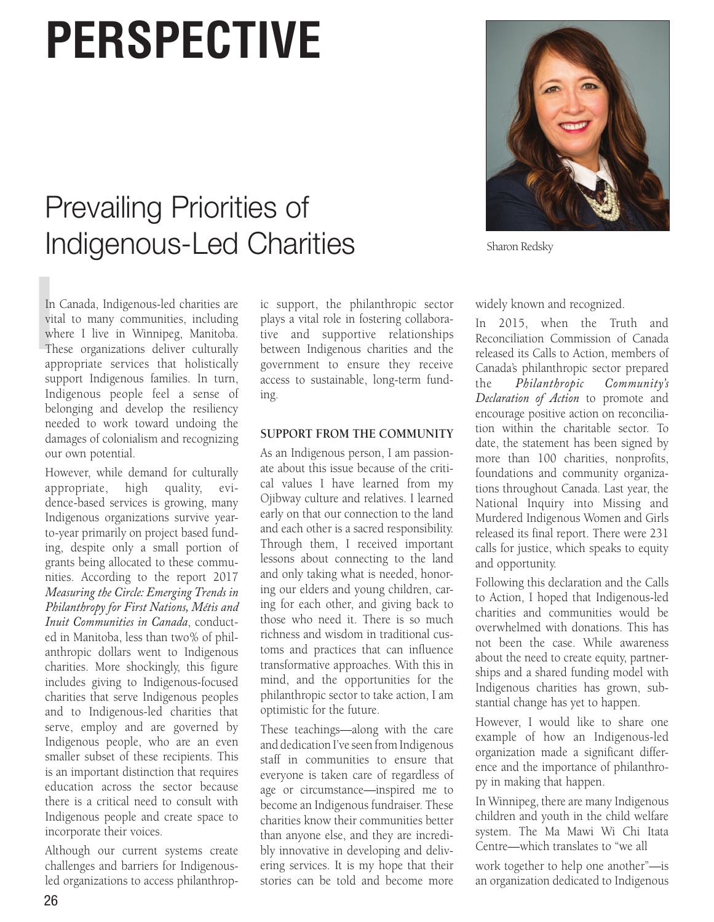# **PERSPECTIVE**

## Prevailing Priorities of Indigenous-Led Charities



Sharon Redsky

In<br>
vit<br>
wh<br>
Th<br>
an In Canada, Indigenous-led charities are vital to many communities, including where I live in Winnipeg, Manitoba. These organizations deliver culturally appropriate services that holistically support Indigenous families. In turn, Indigenous people feel a sense of belonging and develop the resiliency needed to work toward undoing the damages of colonialism and recognizing our own potential.

However, while demand for culturally appropriate, high quality, evidence-based services is growing, many Indigenous organizations survive yearto-year primarily on project based funding, despite only a small portion of grants being allocated to these communities. According to the report 2017 *Measuring the Circle: Emerging Trends in Philanthropy for First Nations, Métis and Inuit Communities in Canada*, conducted in Manitoba, less than two% of philanthropic dollars went to Indigenous charities. More shockingly, this figure includes giving to Indigenous-focused charities that serve Indigenous peoples and to Indigenous-led charities that serve, employ and are governed by Indigenous people, who are an even smaller subset of these recipients. This is an important distinction that requires education across the sector because there is a critical need to consult with Indigenous people and create space to incorporate their voices.

Although our current systems create challenges and barriers for Indigenousled organizations to access philanthrop-

ic support, the philanthropic sector plays a vital role in fostering collaborative and supportive relationships between Indigenous charities and the government to ensure they receive access to sustainable, long-term funding.

#### **SUPPORT FROM THE COMMUNITY**

As an Indigenous person, I am passionate about this issue because of the critical values I have learned from my Ojibway culture and relatives. I learned early on that our connection to the land and each other is a sacred responsibility. Through them, I received important lessons about connecting to the land and only taking what is needed, honoring our elders and young children, caring for each other, and giving back to those who need it. There is so much richness and wisdom in traditional customs and practices that can influence transformative approaches. With this in mind, and the opportunities for the philanthropic sector to take action, I am optimistic for the future.

These teachings—along with the care and dedication I've seen from Indigenous staff in communities to ensure that everyone is taken care of regardless of age or circumstance—inspired me to become an Indigenous fundraiser. These charities know their communities better than anyone else, and they are incredibly innovative in developing and delivering services. It is my hope that their stories can be told and become more widely known and recognized.

In 2015, when the Truth and Reconciliation Commission of Canada released its Calls to Action, members of Canada's philanthropic sector prepared the *Philanthropic Community's Declaration of Action* to promote and encourage positive action on reconciliation within the charitable sector. To date, the statement has been signed by more than 100 charities, nonprofits, foundations and community organizations throughout Canada. Last year, the National Inquiry into Missing and Murdered Indigenous Women and Girls released its final report. There were 231 calls for justice, which speaks to equity and opportunity.

Following this declaration and the Calls to Action, I hoped that Indigenous-led charities and communities would be overwhelmed with donations. This has not been the case. While awareness about the need to create equity, partnerships and a shared funding model with Indigenous charities has grown, substantial change has yet to happen.

However, I would like to share one example of how an Indigenous-led organization made a significant difference and the importance of philanthropy in making that happen.

In Winnipeg, there are many Indigenous children and youth in the child welfare system. The Ma Mawi Wi Chi Itata Centre—which translates to "we all

work together to help one another"—is an organization dedicated to Indigenous